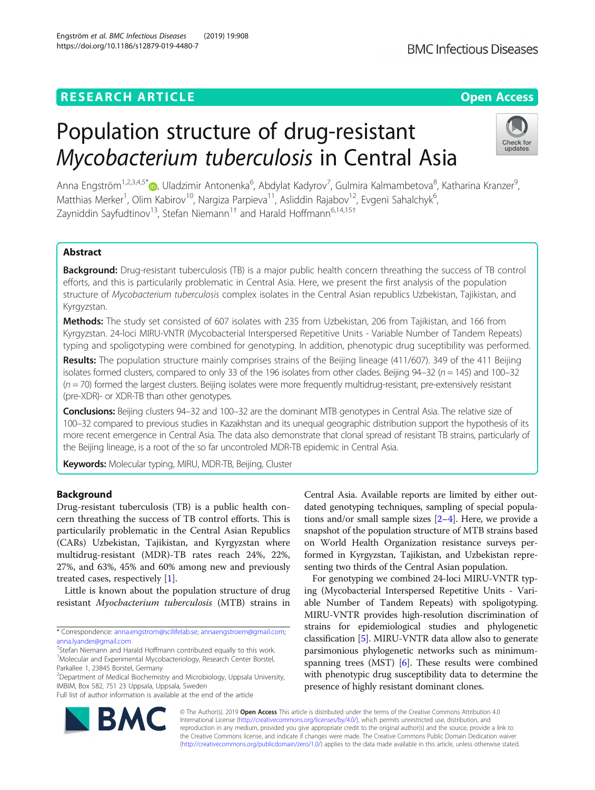## **RESEARCH ARTICLE Example 2014 12:30 The Contract of Contract ACCESS**

# Population structure of drug-resistant Mycobacterium tuberculosis in Central Asia

Anna Engström<sup>1[,](http://orcid.org/0000-0002-7612-0522)2,3,4,5\*</sup>®, Uladzimir Antonenka<sup>6</sup>, Abdylat Kadyrov<sup>7</sup>, Gulmira Kalmambetova<sup>8</sup>, Katharina Kranzer<sup>s</sup> , Matthias Merker<sup>1</sup>, Olim Kabirov<sup>10</sup>, Nargiza Parpieva<sup>11</sup>, Asliddin Rajabov<sup>12</sup>, Evgeni Sahalchyk<sup>6</sup> , Zayniddin Sayfudtinov<sup>13</sup>, Stefan Niemann<sup>1†</sup> and Harald Hoffmann<sup>6,14,15†</sup>

## Abstract

**Background:** Drug-resistant tuberculosis (TB) is a major public health concern threathing the success of TB control efforts, and this is particularily problematic in Central Asia. Here, we present the first analysis of the population structure of Mycobacterium tuberculosis complex isolates in the Central Asian republics Uzbekistan, Tajikistan, and Kyrgyzstan.

Methods: The study set consisted of 607 isolates with 235 from Uzbekistan, 206 from Tajikistan, and 166 from Kyrgyzstan. 24-loci MIRU-VNTR (Mycobacterial Interspersed Repetitive Units - Variable Number of Tandem Repeats) typing and spoligotyping were combined for genotyping. In addition, phenotypic drug suceptibility was performed.

Results: The population structure mainly comprises strains of the Beijing lineage (411/607). 349 of the 411 Beijing isolates formed clusters, compared to only 33 of the 196 isolates from other clades. Beijing  $94-32$  ( $n = 145$ ) and 100-32  $(n = 70)$  formed the largest clusters. Beijing isolates were more frequently multidrug-resistant, pre-extensively resistant (pre-XDR)- or XDR-TB than other genotypes.

Conclusions: Beijing clusters 94–32 and 100–32 are the dominant MTB genotypes in Central Asia. The relative size of 100–32 compared to previous studies in Kazakhstan and its unequal geographic distribution support the hypothesis of its more recent emergence in Central Asia. The data also demonstrate that clonal spread of resistant TB strains, particularly of the Beijing lineage, is a root of the so far uncontroled MDR-TB epidemic in Central Asia.

Keywords: Molecular typing, MIRU, MDR-TB, Beijing, Cluster

## Background

Drug-resistant tuberculosis (TB) is a public health concern threathing the success of TB control efforts. This is particularily problematic in the Central Asian Republics (CARs) Uzbekistan, Tajikistan, and Kyrgyzstan where multidrug-resistant (MDR)-TB rates reach 24%, 22%, 27%, and 63%, 45% and 60% among new and previously treated cases, respectively [\[1](#page-4-0)].

Little is known about the population structure of drug resistant Myocbacterium tuberculosis (MTB) strains in

<sup>2</sup> Department of Medical Biochemistry and Microbiology, Uppsala University, IMBIM, Box 582, 751 23 Uppsala, Uppsala, Sweden

Full list of author information is available at the end of the article

Central Asia. Available reports are limited by either outdated genotyping techniques, sampling of special populations and/or small sample sizes  $[2-4]$  $[2-4]$  $[2-4]$  $[2-4]$  $[2-4]$ . Here, we provide a snapshot of the population structure of MTB strains based on World Health Organization resistance surveys performed in Kyrgyzstan, Tajikistan, and Uzbekistan representing two thirds of the Central Asian population.

For genotyping we combined 24-loci MIRU-VNTR typing (Mycobacterial Interspersed Repetitive Units - Variable Number of Tandem Repeats) with spoligotyping. MIRU-VNTR provides high-resolution discrimination of strains for epidemiological studies and phylogenetic classification [\[5](#page-4-0)]. MIRU-VNTR data allow also to generate parsimonious phylogenetic networks such as minimumspanning trees (MST) [[6](#page-4-0)]. These results were combined with phenotypic drug susceptibility data to determine the presence of highly resistant dominant clones.

© The Author(s). 2019 Open Access This article is distributed under the terms of the Creative Commons Attribution 4.0 International License [\(http://creativecommons.org/licenses/by/4.0/](http://creativecommons.org/licenses/by/4.0/)), which permits unrestricted use, distribution, and reproduction in any medium, provided you give appropriate credit to the original author(s) and the source, provide a link to the Creative Commons license, and indicate if changes were made. The Creative Commons Public Domain Dedication waiver [\(http://creativecommons.org/publicdomain/zero/1.0/](http://creativecommons.org/publicdomain/zero/1.0/)) applies to the data made available in this article, unless otherwise stated.





Check for updates

<sup>\*</sup> Correspondence: [anna.engstrom@scilifelab.se;](mailto:anna.engstrom@scilifelab.se) [annaengstroem@gmail.com;](mailto:annaengstroem@gmail.com) [anna.lyander@gmail.com](mailto:anna.lyander@gmail.com)

<sup>†</sup> Stefan Niemann and Harald Hoffmann contributed equally to this work. <sup>1</sup>Molecular and Experimental Mycobacteriology, Research Center Borstel, Parkallee 1, 23845 Borstel, Germany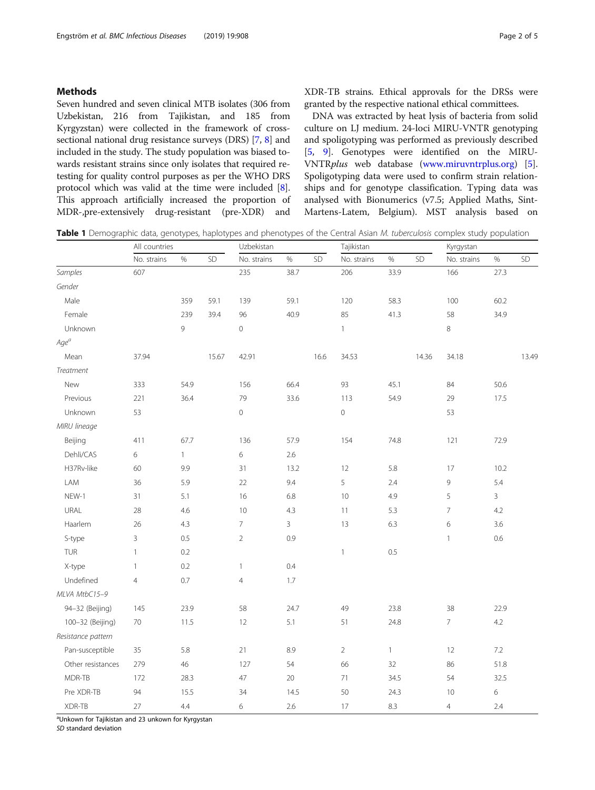## <span id="page-1-0"></span>Methods

Seven hundred and seven clinical MTB isolates (306 from Uzbekistan, 216 from Tajikistan, and 185 from Kyrgyzstan) were collected in the framework of crosssectional national drug resistance surveys (DRS) [\[7,](#page-4-0) [8\]](#page-4-0) and included in the study. The study population was biased towards resistant strains since only isolates that required retesting for quality control purposes as per the WHO DRS protocol which was valid at the time were included [[8](#page-4-0)]. This approach artificially increased the proportion of MDR-,pre-extensively drug-resistant (pre-XDR) and

XDR-TB strains. Ethical approvals for the DRSs were granted by the respective national ethical committees.

DNA was extracted by heat lysis of bacteria from solid culture on LJ medium. 24-loci MIRU-VNTR genotyping and spoligotyping was performed as previously described [[5,](#page-4-0) [9](#page-4-0)]. Genotypes were identified on the MIRU-VNTRplus web database [\(www.miruvntrplus.org](http://www.miruvntrplus.org)) [\[5](#page-4-0)]. Spoligotyping data were used to confirm strain relationships and for genotype classification. Typing data was analysed with Bionumerics (v7.5; Applied Maths, Sint-Martens-Latem, Belgium). MST analysis based on

Table 1 Demographic data, genotypes, haplotypes and phenotypes of the Central Asian M. tuberculosis complex study population

|                    | All countries  |              |       | Uzbekistan     |              |      | Tajikistan          |              |       | Kyrgystan      |                |       |
|--------------------|----------------|--------------|-------|----------------|--------------|------|---------------------|--------------|-------|----------------|----------------|-------|
|                    | No. strains    | $\%$         | SD    | No. strains    | $\%$         | SD   | No. strains         | $\%$         | SD    | No. strains    | $\%$           | SD    |
| Samples            | 607            |              |       | 235            | 38.7         |      | 206                 | 33.9         |       | 166            | 27.3           |       |
| Gender             |                |              |       |                |              |      |                     |              |       |                |                |       |
| Male               |                | 359          | 59.1  | 139            | 59.1         |      | 120                 | 58.3         |       | 100            | 60.2           |       |
| Female             |                | 239          | 39.4  | 96             | 40.9         |      | 85                  | 41.3         |       | 58             | 34.9           |       |
| Unknown            |                | 9            |       | $\mathbf 0$    |              |      | $\mathbf{1}$        |              |       | 8              |                |       |
| $Age^a$            |                |              |       |                |              |      |                     |              |       |                |                |       |
| Mean               | 37.94          |              | 15.67 | 42.91          |              | 16.6 | 34.53               |              | 14.36 | 34.18          |                | 13.49 |
| Treatment          |                |              |       |                |              |      |                     |              |       |                |                |       |
| New                | 333            | 54.9         |       | 156            | 66.4         |      | 93                  | 45.1         |       | 84             | 50.6           |       |
| Previous           | 221            | 36.4         |       | 79             | 33.6         |      | 113                 | 54.9         |       | 29             | 17.5           |       |
| Unknown            | 53             |              |       | $\mathbb O$    |              |      | $\mathsf{O}\xspace$ |              |       | 53             |                |       |
| MIRU lineage       |                |              |       |                |              |      |                     |              |       |                |                |       |
| Beijing            | 411            | 67.7         |       | 136            | 57.9         |      | 154                 | 74.8         |       | 121            | 72.9           |       |
| Dehli/CAS          | 6              | $\mathbf{1}$ |       | 6              | 2.6          |      |                     |              |       |                |                |       |
| H37Rv-like         | 60             | 9.9          |       | 31             | 13.2         |      | 12                  | 5.8          |       | 17             | 10.2           |       |
| LAM                | 36             | 5.9          |       | 22             | 9.4          |      | 5                   | 2.4          |       | 9              | 5.4            |       |
| NEW-1              | 31             | 5.1          |       | 16             | 6.8          |      | 10                  | 4.9          |       | 5              | $\overline{3}$ |       |
| URAL               | 28             | 4.6          |       | 10             | 4.3          |      | 11                  | 5.3          |       | $\overline{7}$ | 4.2            |       |
| Haarlem            | 26             | 4.3          |       | $\overline{7}$ | $\mathbf{3}$ |      | 13                  | 6.3          |       | 6              | 3.6            |       |
| S-type             | 3              | 0.5          |       | $\overline{2}$ | 0.9          |      |                     |              |       | $\mathbf{1}$   | 0.6            |       |
| TUR                | $\mathbf{1}$   | 0.2          |       |                |              |      | $\mathbf{1}$        | $0.5\,$      |       |                |                |       |
| X-type             | $\mathbf{1}$   | 0.2          |       | $\mathbf{1}$   | 0.4          |      |                     |              |       |                |                |       |
| Undefined          | $\overline{4}$ | 0.7          |       | $\overline{4}$ | 1.7          |      |                     |              |       |                |                |       |
| MLVA MtbC15-9      |                |              |       |                |              |      |                     |              |       |                |                |       |
| 94-32 (Beijing)    | 145            | 23.9         |       | 58             | 24.7         |      | 49                  | 23.8         |       | 38             | 22.9           |       |
| 100-32 (Beijing)   | $70\,$         | 11.5         |       | 12             | 5.1          |      | 51                  | 24.8         |       | $\overline{7}$ | 4.2            |       |
| Resistance pattern |                |              |       |                |              |      |                     |              |       |                |                |       |
| Pan-susceptible    | 35             | 5.8          |       | 21             | 8.9          |      | $\sqrt{2}$          | $\mathbf{1}$ |       | 12             | $7.2\,$        |       |
| Other resistances  | 279            | 46           |       | 127            | 54           |      | 66                  | 32           |       | 86             | 51.8           |       |
| MDR-TB             | 172            | 28.3         |       | 47             | 20           |      | $71\,$              | 34.5         |       | 54             | 32.5           |       |
| Pre XDR-TB         | 94             | 15.5         |       | 34             | 14.5         |      | 50                  | 24.3         |       | 10             | 6              |       |
| XDR-TB             | $27\,$         | 4.4          |       | 6              | 2.6          |      | 17                  | 8.3          |       | $\overline{4}$ | 2.4            |       |

<sup>a</sup>Unkown for Tajikistan and 23 unkown for Kyrgystan

SD standard deviation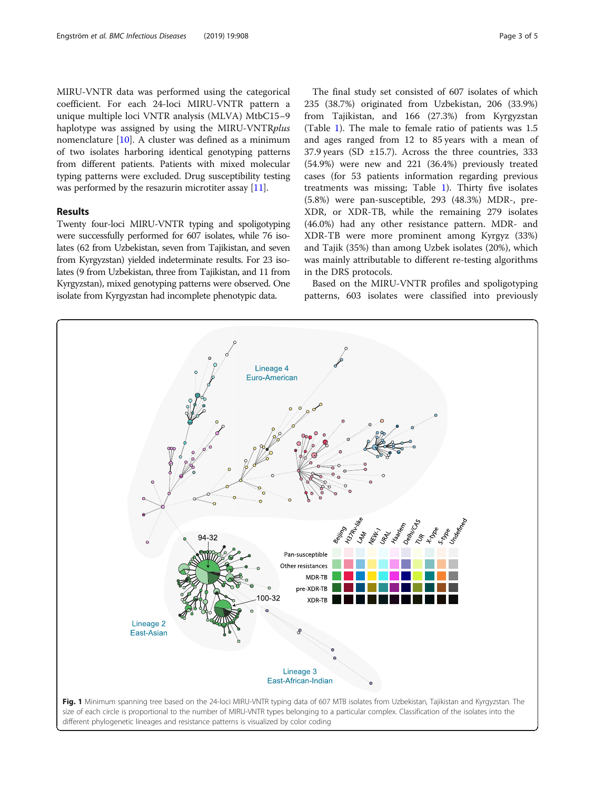<span id="page-2-0"></span>MIRU-VNTR data was performed using the categorical coefficient. For each 24-loci MIRU-VNTR pattern a unique multiple loci VNTR analysis (MLVA) MtbC15–9 haplotype was assigned by using the MIRU-VNTRplus nomenclature [[10](#page-4-0)]. A cluster was defined as a minimum of two isolates harboring identical genotyping patterns from different patients. Patients with mixed molecular typing patterns were excluded. Drug susceptibility testing was performed by the resazurin microtiter assay [\[11\]](#page-4-0).

## Results

Twenty four-loci MIRU-VNTR typing and spoligotyping were successfully performed for 607 isolates, while 76 isolates (62 from Uzbekistan, seven from Tajikistan, and seven from Kyrgyzstan) yielded indeterminate results. For 23 isolates (9 from Uzbekistan, three from Tajikistan, and 11 from Kyrgyzstan), mixed genotyping patterns were observed. One isolate from Kyrgyzstan had incomplete phenotypic data.

The final study set consisted of 607 isolates of which 235 (38.7%) originated from Uzbekistan, 206 (33.9%) from Tajikistan, and 166 (27.3%) from Kyrgyzstan (Table [1\)](#page-1-0). The male to female ratio of patients was 1.5 and ages ranged from 12 to 85 years with a mean of 37.9 years (SD  $\pm$ 15.7). Across the three countries, 333 (54.9%) were new and 221 (36.4%) previously treated cases (for 53 patients information regarding previous treatments was missing; Table [1\)](#page-1-0). Thirty five isolates (5.8%) were pan-susceptible, 293 (48.3%) MDR-, pre-XDR, or XDR-TB, while the remaining 279 isolates (46.0%) had any other resistance pattern. MDR- and XDR-TB were more prominent among Kyrgyz (33%) and Tajik (35%) than among Uzbek isolates (20%), which was mainly attributable to different re-testing algorithms in the DRS protocols.

Based on the MIRU-VNTR profiles and spoligotyping patterns, 603 isolates were classified into previously

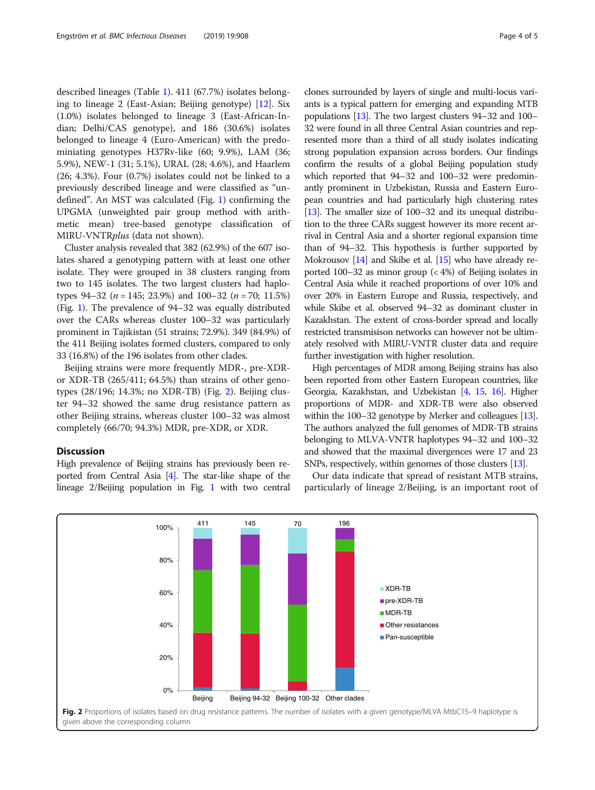described lineages (Table [1\)](#page-1-0). 411 (67.7%) isolates belonging to lineage 2 (East-Asian; Beijing genotype) [\[12\]](#page-4-0). Six (1.0%) isolates belonged to lineage 3 (East-African-Indian; Delhi/CAS genotype), and 186 (30.6%) isolates belonged to lineage 4 (Euro-American) with the predominiating genotypes H37Rv-like (60; 9.9%), LAM (36; 5.9%), NEW-1 (31; 5.1%), URAL (28; 4.6%), and Haarlem (26; 4.3%). Four (0.7%) isolates could not be linked to a previously described lineage and were classified as "undefined". An MST was calculated (Fig. [1](#page-2-0)) confirming the UPGMA (unweighted pair group method with arithmetic mean) tree-based genotype classification of MIRU-VNTRplus (data not shown).

Cluster analysis revealed that 382 (62.9%) of the 607 isolates shared a genotyping pattern with at least one other isolate. They were grouped in 38 clusters ranging from two to 145 isolates. The two largest clusters had haplotypes 94–32 ( $n = 145$ ; 23.9%) and 100–32 ( $n = 70$ ; 11.5%) (Fig. [1](#page-2-0)). The prevalence of 94–32 was equally distributed over the CARs whereas cluster 100–32 was particularly prominent in Tajikistan (51 strains; 72.9%). 349 (84.9%) of the 411 Beijing isolates formed clusters, compared to only 33 (16.8%) of the 196 isolates from other clades.

Beijing strains were more frequently MDR-, pre-XDRor XDR-TB (265/411; 64.5%) than strains of other genotypes (28/196; 14.3%; no XDR-TB) (Fig. 2). Beijing cluster 94–32 showed the same drug resistance pattern as other Beijing strains, whereas cluster 100–32 was almost completely (66/70; 94.3%) MDR, pre-XDR, or XDR.

## Discussion

High prevalence of Beijing strains has previously been reported from Central Asia [[4](#page-4-0)]. The star-like shape of the lineage 2/Beijing population in Fig. [1](#page-2-0) with two central clones surrounded by layers of single and multi-locus variants is a typical pattern for emerging and expanding MTB populations [[13](#page-4-0)]. The two largest clusters 94–32 and 100– 32 were found in all three Central Asian countries and represented more than a third of all study isolates indicating strong population expansion across borders. Our findings confirm the results of a global Beijing population study which reported that 94–32 and 100–32 were predominantly prominent in Uzbekistan, Russia and Eastern European countries and had particularly high clustering rates [[13](#page-4-0)]. The smaller size of 100–32 and its unequal distribution to the three CARs suggest however its more recent arrival in Central Asia and a shorter regional expansion time than of 94–32. This hypothesis is further supported by Mokrousov  $[14]$  $[14]$  and Skibe et al.  $[15]$  who have already reported 100–32 as minor group (< 4%) of Beijing isolates in Central Asia while it reached proportions of over 10% and over 20% in Eastern Europe and Russia, respectively, and while Skibe et al. observed 94–32 as dominant cluster in Kazakhstan. The extent of cross-border spread and locally restricted transmisison networks can however not be ultimately resolved with MIRU-VNTR cluster data and require further investigation with higher resolution.

High percentages of MDR among Beijing strains has also been reported from other Eastern European countries, like Georgia, Kazakhstan, and Uzbekistan [\[4](#page-4-0), [15](#page-4-0), [16\]](#page-4-0). Higher proportions of MDR- and XDR-TB were also observed within the 100–32 genotype by Merker and colleagues [\[13](#page-4-0)]. The authors analyzed the full genomes of MDR-TB strains belonging to MLVA-VNTR haplotypes 94–32 and 100–32 and showed that the maximal divergences were 17 and 23 SNPs, respectively, within genomes of those clusters [[13](#page-4-0)].

Our data indicate that spread of resistant MTB strains, particularly of lineage 2/Beijing, is an important root of